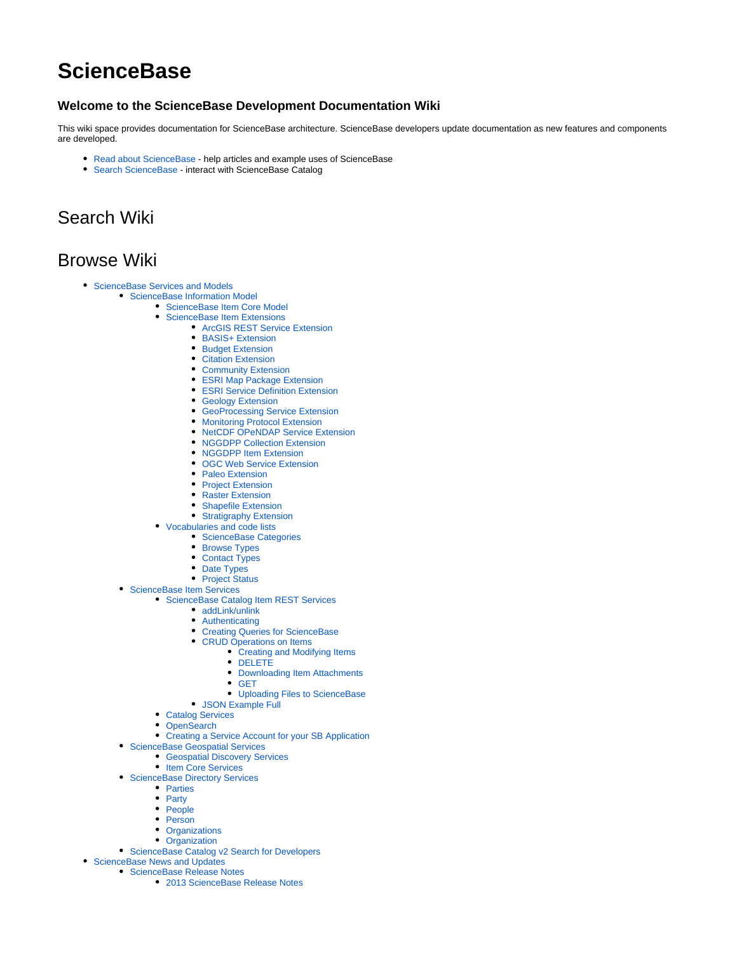## **ScienceBase**

## **Welcome to the ScienceBase Development Documentation Wiki**

This wiki space provides documentation for ScienceBase architecture. ScienceBase developers update documentation as new features and components are developed.

- [Read about ScienceBase](http://www.sciencebase.gov/about/)  help articles and example uses of ScienceBase
- [Search ScienceBase](http://www.sciencebase.gov/)  interact with ScienceBase Catalog

## Search Wiki

## Browse Wiki

- [ScienceBase Services and Models](https://my.usgs.gov/confluence/display/sciencebase/ScienceBase+Services+and+Models)
	- [ScienceBase Information Model](https://my.usgs.gov/confluence/display/sciencebase/ScienceBase+Information+Model)
		- [ScienceBase Item Core Model](https://my.usgs.gov/confluence/display/sciencebase/ScienceBase+Item+Core+Model)
			- [ScienceBase Item Extensions](https://my.usgs.gov/confluence/display/sciencebase/ScienceBase+Item+Extensions)
				- [ArcGIS REST Service Extension](https://my.usgs.gov/confluence/display/sciencebase/ArcGIS+REST+Service+Extension)
				- [BASIS+ Extension](https://my.usgs.gov/confluence/pages/viewpage.action?pageId=542477310)
				- **[Budget Extension](https://my.usgs.gov/confluence/display/sciencebase/Budget+Extension)**
				- [Citation Extension](https://my.usgs.gov/confluence/display/sciencebase/Citation+Extension)
				- [Community Extension](https://my.usgs.gov/confluence/display/sciencebase/Community+Extension)
				- [ESRI Map Package Extension](https://my.usgs.gov/confluence/display/sciencebase/ESRI+Map+Package+Extension)
				- [ESRI Service Definition Extension](https://my.usgs.gov/confluence/display/sciencebase/ESRI+Service+Definition+Extension)
				- **[Geology Extension](https://my.usgs.gov/confluence/display/sciencebase/Geology+Extension)**
				- **[GeoProcessing Service Extension](https://my.usgs.gov/confluence/display/sciencebase/GeoProcessing+Service+Extension)**
				- [Monitoring Protocol Extension](https://my.usgs.gov/confluence/display/sciencebase/Monitoring+Protocol+Extension)
				- [NetCDF OPeNDAP Service Extension](https://my.usgs.gov/confluence/display/sciencebase/NetCDF+OPeNDAP+Service+Extension) • [NGGDPP Collection Extension](https://my.usgs.gov/confluence/display/sciencebase/NGGDPP+Collection+Extension)
				-
				- [NGGDPP Item Extension](https://my.usgs.gov/confluence/display/sciencebase/NGGDPP+Item+Extension)
				- **[OGC Web Service Extension](https://my.usgs.gov/confluence/display/sciencebase/OGC+Web+Service+Extension)**
				- [Paleo Extension](https://my.usgs.gov/confluence/display/sciencebase/Paleo+Extension)
				- [Project Extension](https://my.usgs.gov/confluence/display/sciencebase/Project+Extension) • [Raster Extension](https://my.usgs.gov/confluence/display/sciencebase/Raster+Extension)
				-
				- [Shapefile Extension](https://my.usgs.gov/confluence/display/sciencebase/Shapefile+Extension)
				- [Stratigraphy Extension](https://my.usgs.gov/confluence/display/sciencebase/Stratigraphy+Extension)
			- [Vocabularies and code lists](https://my.usgs.gov/confluence/display/sciencebase/Vocabularies+and+code+lists)
				- **[ScienceBase Categories](https://my.usgs.gov/confluence/display/sciencebase/ScienceBase+Categories)**
				- [Browse Types](https://my.usgs.gov/confluence/display/sciencebase/Browse+Types)
				- [Contact Types](https://my.usgs.gov/confluence/display/sciencebase/Contact+Types)
				- [Date Types](https://my.usgs.gov/confluence/display/sciencebase/Date+Types)
				- [Project Status](https://my.usgs.gov/confluence/display/sciencebase/Project+Status)
	- **[ScienceBase Item Services](https://my.usgs.gov/confluence/display/sciencebase/ScienceBase+Item+Services)** 
		- **[ScienceBase Catalog Item REST Services](https://my.usgs.gov/confluence/display/sciencebase/ScienceBase+Catalog+Item+REST+Services)** 
			- [addLink/unlink](https://my.usgs.gov/confluence/pages/viewpage.action?pageId=542477299)
			- [Authenticating](https://my.usgs.gov/confluence/display/sciencebase/Authenticating)
			- [Creating Queries for ScienceBase](https://my.usgs.gov/confluence/display/sciencebase/Creating+Queries+for+ScienceBase)
			- [CRUD Operations on Items](https://my.usgs.gov/confluence/display/sciencebase/CRUD+Operations+on+Items)
				- [Creating and Modifying Items](https://my.usgs.gov/confluence/display/sciencebase/Creating+and+Modifying+Items)
				- [DELETE](https://my.usgs.gov/confluence/display/sciencebase/DELETE)
				- [Downloading Item Attachments](https://my.usgs.gov/confluence/display/sciencebase/Downloading+Item+Attachments)
				- [GET](https://my.usgs.gov/confluence/display/sciencebase/GET)
				- [Uploading Files to ScienceBase](https://my.usgs.gov/confluence/display/sciencebase/Uploading+Files+to+ScienceBase)
			- [JSON Example Full](https://my.usgs.gov/confluence/display/sciencebase/JSON+Example+Full)
			- [Catalog Services](https://my.usgs.gov/confluence/display/sciencebase/Catalog+Services)
			- [OpenSearch](https://my.usgs.gov/confluence/display/sciencebase/OpenSearch)
			- [Creating a Service Account for your SB Application](https://my.usgs.gov/confluence/display/sciencebase/Creating+a+Service+Account+for+your+SB+Application)
	- [ScienceBase Geospatial Services](https://my.usgs.gov/confluence/display/sciencebase/ScienceBase+Geospatial+Services)
		- [Geospatial Discovery Services](https://my.usgs.gov/confluence/display/sciencebase/Geospatial+Discovery+Services)
		- [Item Core Services](https://my.usgs.gov/confluence/display/sciencebase/Item+Core+Services)
	- [ScienceBase Directory Services](https://my.usgs.gov/confluence/display/sciencebase/ScienceBase+Directory+Services)
		- [Parties](https://my.usgs.gov/confluence/display/sciencebase/Parties)
		- [Party](https://my.usgs.gov/confluence/display/sciencebase/Party)
		- [People](https://my.usgs.gov/confluence/display/sciencebase/People)
		- [Person](https://my.usgs.gov/confluence/display/sciencebase/Person)
		- **[Organizations](https://my.usgs.gov/confluence/display/sciencebase/Organizations)**
		- [Organization](https://my.usgs.gov/confluence/display/sciencebase/Organization)
	- [ScienceBase Catalog v2 Search for Developers](https://my.usgs.gov/confluence/display/sciencebase/ScienceBase+Catalog+v2+Search+for+Developers)
- [ScienceBase News and Updates](https://my.usgs.gov/confluence/display/sciencebase/ScienceBase+News+and+Updates)
	- **[ScienceBase Release Notes](https://my.usgs.gov/confluence/display/sciencebase/ScienceBase+Release+Notes)** 
		- [2013 ScienceBase Release Notes](https://my.usgs.gov/confluence/display/sciencebase/2013+ScienceBase+Release+Notes)